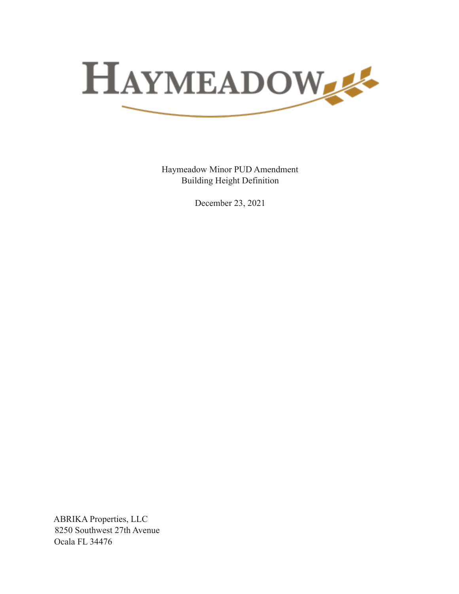

Haymeadow Minor PUD Amendment Building Height Definition

December 23, 2021

ABRIKA Properties, LLC 8250 Southwest 27th Avenue Ocala FL 34476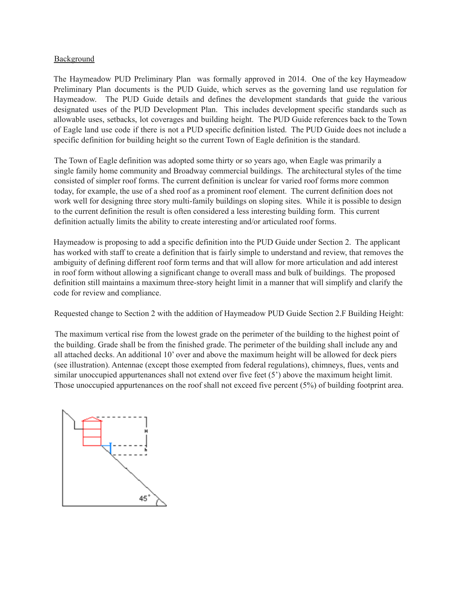## Background

The Haymeadow PUD Preliminary Plan was formally approved in 2014. One of the key Haymeadow Preliminary Plan documents is the PUD Guide, which serves as the governing land use regulation for Haymeadow. The PUD Guide details and defines the development standards that guide the various designated uses of the PUD Development Plan. This includes development specific standards such as allowable uses, setbacks, lot coverages and building height. The PUD Guide references back to the Town of Eagle land use code if there is not a PUD specific definition listed. The PUD Guide does not include a specific definition for building height so the current Town of Eagle definition is the standard.

The Town of Eagle definition was adopted some thirty or so years ago, when Eagle was primarily a single family home community and Broadway commercial buildings. The architectural styles of the time consisted of simpler roof forms. The current definition is unclear for varied roof forms more common today, for example, the use of a shed roof as a prominent roof element. The current definition does not work well for designing three story multi-family buildings on sloping sites. While it is possible to design to the current definition the result is often considered a less interesting building form. This current definition actually limits the ability to create interesting and/or articulated roof forms.

Haymeadow is proposing to add a specific definition into the PUD Guide under Section 2. The applicant has worked with staff to create a definition that is fairly simple to understand and review, that removes the ambiguity of defining different roof form terms and that will allow for more articulation and add interest in roof form without allowing a significant change to overall mass and bulk of buildings. The proposed definition still maintains a maximum three-story height limit in a manner that will simplify and clarify the code for review and compliance.

Requested change to Section 2 with the addition of Haymeadow PUD Guide Section 2.F Building Height:

The maximum vertical rise from the lowest grade on the perimeter of the building to the highest point of the building. Grade shall be from the finished grade. The perimeter of the building shall include any and all attached decks. An additional 10' over and above the maximum height will be allowed for deck piers (see illustration). Antennae (except those exempted from federal regulations), chimneys, flues, vents and similar unoccupied appurtenances shall not extend over five feet (5') above the maximum height limit. Those unoccupied appurtenances on the roof shall not exceed five percent (5%) of building footprint area.

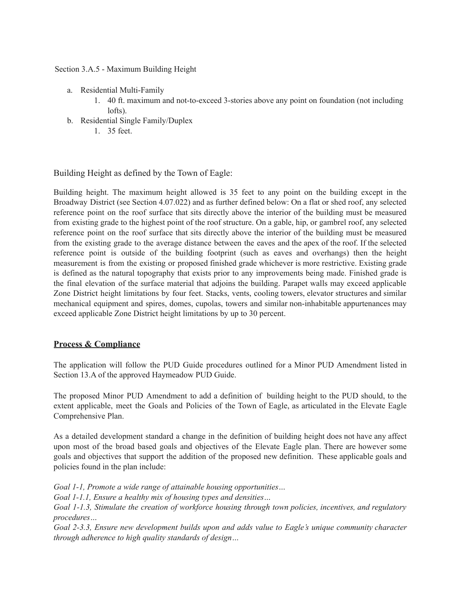Section 3.A.5 - Maximum Building Height

- a. Residential Multi-Family
	- 1. 40 ft. maximum and not-to-exceed 3-stories above any point on foundation (not including lofts).
- b. Residential Single Family/Duplex
	- 1. 35 feet.

Building Height as defined by the Town of Eagle:

Building height. The maximum height allowed is 35 feet to any point on the building except in the Broadway District (see Section 4.07.022) and as further defined below: On a flat or shed roof, any selected reference point on the roof surface that sits directly above the interior of the building must be measured from existing grade to the highest point of the roof structure. On a gable, hip, or gambrel roof, any selected reference point on the roof surface that sits directly above the interior of the building must be measured from the existing grade to the average distance between the eaves and the apex of the roof. If the selected reference point is outside of the building footprint (such as eaves and overhangs) then the height measurement is from the existing or proposed finished grade whichever is more restrictive. Existing grade is defined as the natural topography that exists prior to any improvements being made. Finished grade is the final elevation of the surface material that adjoins the building. Parapet walls may exceed applicable Zone District height limitations by four feet. Stacks, vents, cooling towers, elevator structures and similar mechanical equipment and spires, domes, cupolas, towers and similar non-inhabitable appurtenances may exceed applicable Zone District height limitations by up to 30 percent.

## **Process & Compliance**

The application will follow the PUD Guide procedures outlined for a Minor PUD Amendment listed in Section 13.A of the approved Haymeadow PUD Guide.

The proposed Minor PUD Amendment to add a definition of building height to the PUD should, to the extent applicable, meet the Goals and Policies of the Town of Eagle, as articulated in the Elevate Eagle Comprehensive Plan.

As a detailed development standard a change in the definition of building height does not have any affect upon most of the broad based goals and objectives of the Elevate Eagle plan. There are however some goals and objectives that support the addition of the proposed new definition. These applicable goals and policies found in the plan include:

*Goal 1-1, Promote a wide range of attainable housing opportunities…*

*Goal 1-1.1, Ensure a healthy mix of housing types and densities…*

*Goal 1-1.3, Stimulate the creation of workforce housing through town policies, incentives, and regulatory procedures…*

*Goal 2-3.3, Ensure new development builds upon and adds value to Eagle's unique community character through adherence to high quality standards of design…*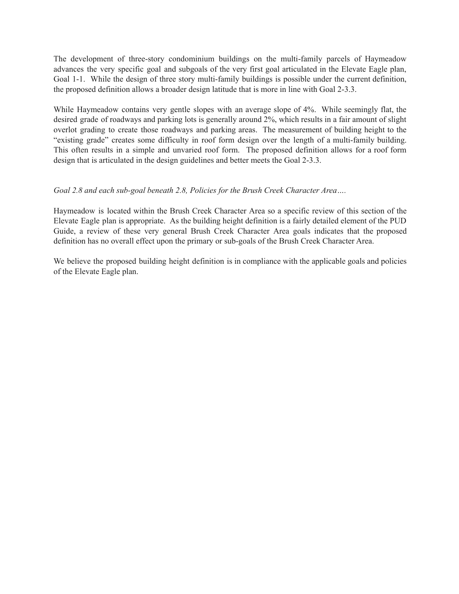The development of three-story condominium buildings on the multi-family parcels of Haymeadow advances the very specific goal and subgoals of the very first goal articulated in the Elevate Eagle plan, Goal 1-1. While the design of three story multi-family buildings is possible under the current definition, the proposed definition allows a broader design latitude that is more in line with Goal 2-3.3.

While Haymeadow contains very gentle slopes with an average slope of 4%. While seemingly flat, the desired grade of roadways and parking lots is generally around 2%, which results in a fair amount of slight overlot grading to create those roadways and parking areas. The measurement of building height to the "existing grade" creates some difficulty in roof form design over the length of a multi-family building. This often results in a simple and unvaried roof form. The proposed definition allows for a roof form design that is articulated in the design guidelines and better meets the Goal 2-3.3.

## *Goal 2.8 and each sub-goal beneath 2.8, Policies for the Brush Creek Character Area….*

Haymeadow is located within the Brush Creek Character Area so a specific review of this section of the Elevate Eagle plan is appropriate. As the building height definition is a fairly detailed element of the PUD Guide, a review of these very general Brush Creek Character Area goals indicates that the proposed definition has no overall effect upon the primary or sub-goals of the Brush Creek Character Area.

We believe the proposed building height definition is in compliance with the applicable goals and policies of the Elevate Eagle plan.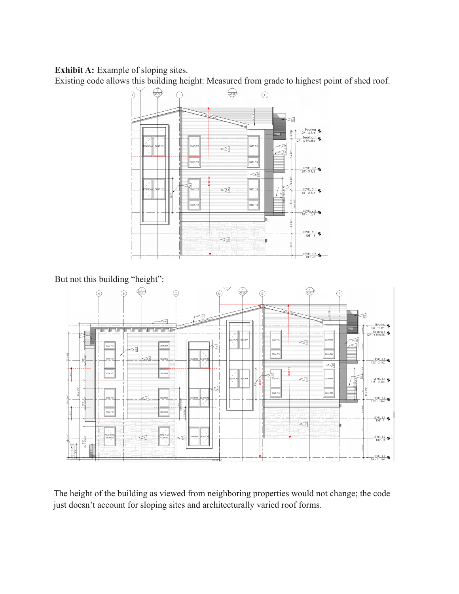**Exhibit A:** Example of sloping sites.

Existing code allows this building height: Measured from grade to highest point of shed roof.



But not this building "height":



The height of the building as viewed from neighboring properties would not change; the code just doesn't account for sloping sites and architecturally varied roof forms.